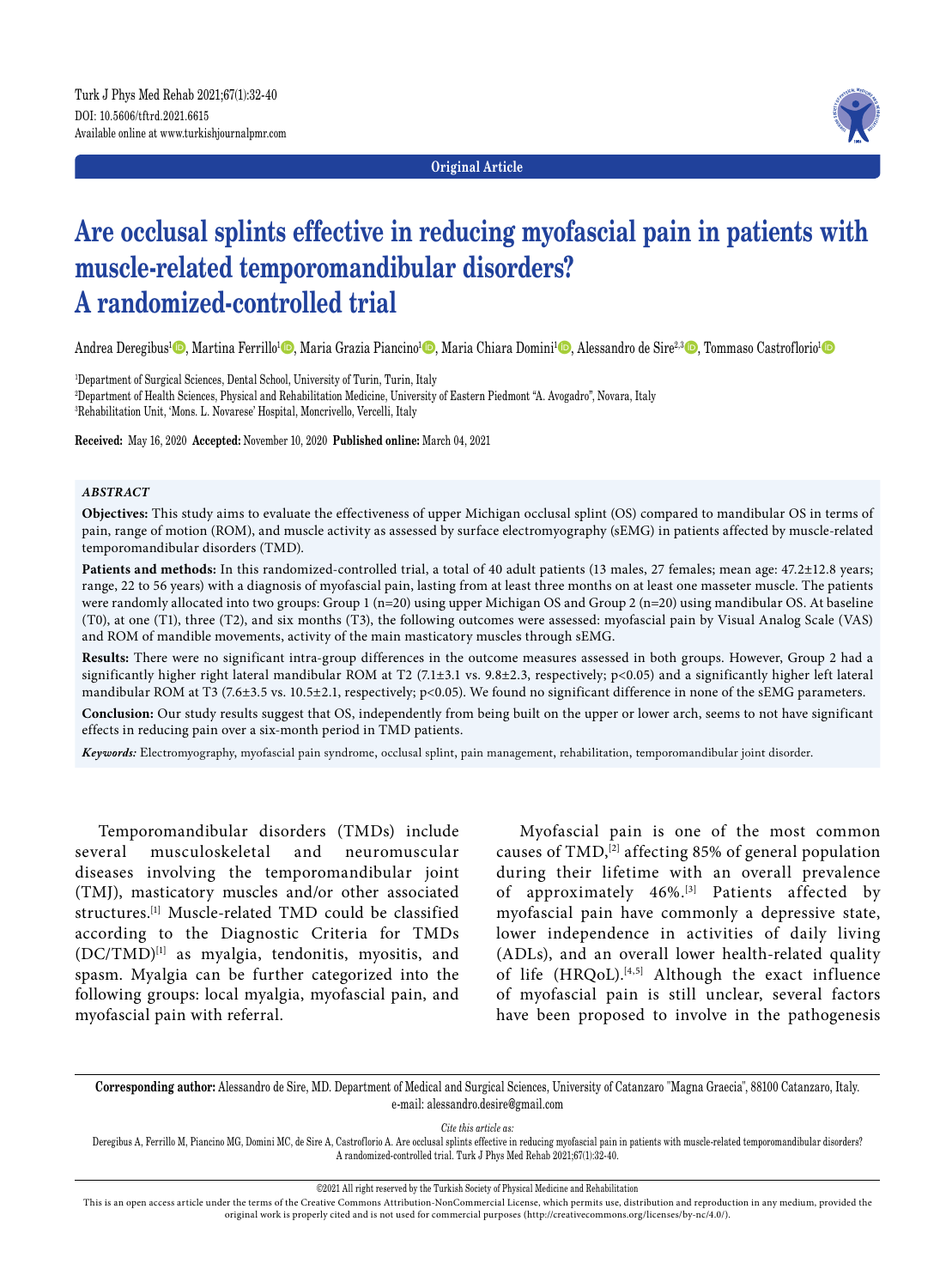**Original Article**



# **Are occlusal splints effective in reducing myofascial pain in patients with muscle-related temporomandibular disorders? A randomized-controlled trial**

Andrea Deregibus<sup>1</sup>©, Martina Ferrillo<sup>1</sup>©, Maria Grazia Piancino<sup>1</sup>©, Maria Chiara Domini<sup>1</sup>©, Alessandro de Sire<sup>2,3</sup>©, Tommaso Castroflorio<sup>1</sup>©

1 Department of Surgical Sciences, Dental School, University of Turin, Turin, Italy 2 Department of Health Sciences, Physical and Rehabilitation Medicine, University of Eastern Piedmont "A. Avogadro", Novara, Italy 3 Rehabilitation Unit, 'Mons. L. Novarese' Hospital, Moncrivello, Vercelli, Italy

**Received:** May 16, 2020 **Accepted:** November 10, 2020 **Published online:** March 04, 2021

#### *ABSTRACT*

**Objectives:** This study aims to evaluate the effectiveness of upper Michigan occlusal splint (OS) compared to mandibular OS in terms of pain, range of motion (ROM), and muscle activity as assessed by surface electromyography (sEMG) in patients affected by muscle-related temporomandibular disorders (TMD).

Patients and methods: In this randomized-controlled trial, a total of 40 adult patients (13 males, 27 females; mean age: 47.2±12.8 years; range, 22 to 56 years) with a diagnosis of myofascial pain, lasting from at least three months on at least one masseter muscle. The patients were randomly allocated into two groups: Group 1 (n=20) using upper Michigan OS and Group 2 (n=20) using mandibular OS. At baseline (T0), at one (T1), three (T2), and six months (T3), the following outcomes were assessed: myofascial pain by Visual Analog Scale (VAS) and ROM of mandible movements, activity of the main masticatory muscles through sEMG.

**Results:** There were no significant intra-group differences in the outcome measures assessed in both groups. However, Group 2 had a significantly higher right lateral mandibular ROM at T2 (7.1±3.1 vs. 9.8±2.3, respectively; p<0.05) and a significantly higher left lateral mandibular ROM at T3 (7.6±3.5 vs. 10.5±2.1, respectively; p<0.05). We found no significant difference in none of the sEMG parameters.

**Conclusion:** Our study results suggest that OS, independently from being built on the upper or lower arch, seems to not have significant effects in reducing pain over a six-month period in TMD patients.

*Keywords:* Electromyography, myofascial pain syndrome, occlusal splint, pain management, rehabilitation, temporomandibular joint disorder.

Temporomandibular disorders (TMDs) include several musculoskeletal and neuromuscular diseases involving the temporomandibular joint (TMJ), masticatory muscles and/or other associated structures.[1] Muscle-related TMD could be classified according to the Diagnostic Criteria for TMDs (DC/TMD)[1] as myalgia, tendonitis, myositis, and spasm. Myalgia can be further categorized into the following groups: local myalgia, myofascial pain, and myofascial pain with referral.

Myofascial pain is one of the most common causes of  $\text{TMD}$ ,<sup>[2]</sup> affecting 85% of general population during their lifetime with an overall prevalence of approximately 46%.<sup>[3]</sup> Patients affected by myofascial pain have commonly a depressive state, lower independence in activities of daily living (ADLs), and an overall lower health-related quality of life (HRQoL).<sup>[4,5]</sup> Although the exact influence of myofascial pain is still unclear, several factors have been proposed to involve in the pathogenesis

**Corresponding author:** Alessandro de Sire, MD. Department of Medical and Surgical Sciences, University of Catanzaro "Magna Graecia", 88100 Catanzaro, Italy. e-mail: alessandro.desire@gmail.com

*Cite this article as:*

Deregibus A, Ferrillo M, Piancino MG, Domini MC, de Sire A, Castroflorio A. Are occlusal splints effective in reducing myofascial pain in patients with muscle-related temporomandibular disorders? A randomized-controlled trial. Turk J Phys Med Rehab 2021;67(1):32-40.

©2021 All right reserved by the Turkish Society of Physical Medicine and Rehabilitation

This is an open access article under the terms of the Creative Commons Attribution-NonCommercial License, which permits use, distribution and reproduction in any medium, provided the original work is properly cited and is not used for commercial purposes (http://creativecommons.org/licenses/by-nc/4.0/).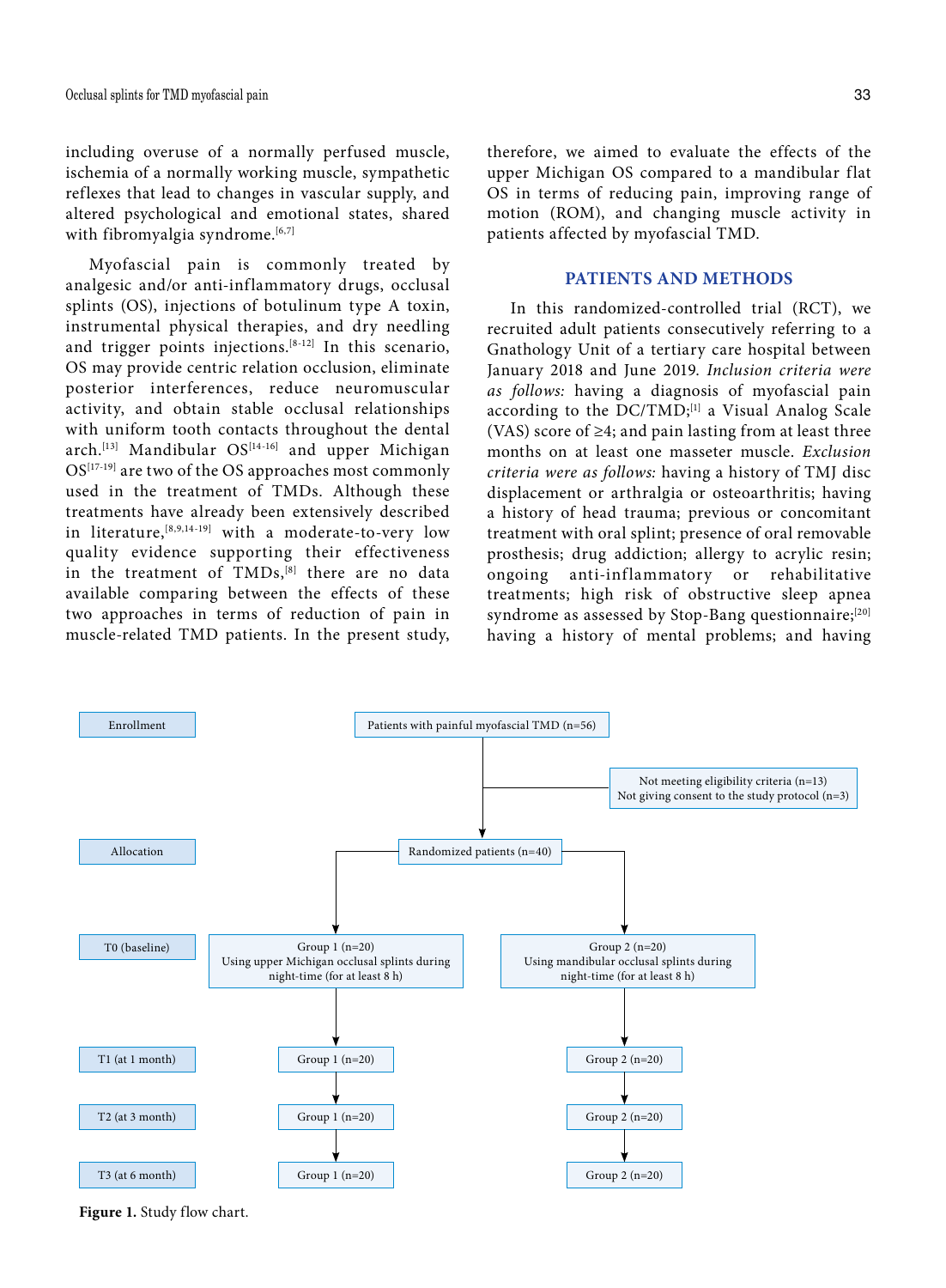including overuse of a normally perfused muscle, ischemia of a normally working muscle, sympathetic reflexes that lead to changes in vascular supply, and altered psychological and emotional states, shared with fibromyalgia syndrome.<sup>[6,7]</sup>

Myofascial pain is commonly treated by analgesic and/or anti-inflammatory drugs, occlusal splints (OS), injections of botulinum type A toxin, instrumental physical therapies, and dry needling and trigger points injections.<sup>[8-12]</sup> In this scenario, OS may provide centric relation occlusion, eliminate posterior interferences, reduce neuromuscular activity, and obtain stable occlusal relationships with uniform tooth contacts throughout the dental arch.<sup>[13]</sup> Mandibular OS<sup>[14-16]</sup> and upper Michigan OS[17-19] are two of the OS approaches most commonly used in the treatment of TMDs. Although these treatments have already been extensively described in literature,[8,9,14-19] with a moderate-to-very low quality evidence supporting their effectiveness in the treatment of TMDs,<sup>[8]</sup> there are no data available comparing between the effects of these two approaches in terms of reduction of pain in muscle-related TMD patients. In the present study, therefore, we aimed to evaluate the effects of the upper Michigan OS compared to a mandibular flat OS in terms of reducing pain, improving range of motion (ROM), and changing muscle activity in patients affected by myofascial TMD.

#### **PATIENTS AND METHODS**

In this randomized-controlled trial (RCT), we recruited adult patients consecutively referring to a Gnathology Unit of a tertiary care hospital between January 2018 and June 2019. *Inclusion criteria were as follows:* having a diagnosis of myofascial pain according to the  $DC/TMD;$ <sup>[1]</sup> a Visual Analog Scale (VAS) score of  $\geq 4$ ; and pain lasting from at least three months on at least one masseter muscle. *Exclusion criteria were as follows:* having a history of TMJ disc displacement or arthralgia or osteoarthritis; having a history of head trauma; previous or concomitant treatment with oral splint; presence of oral removable prosthesis; drug addiction; allergy to acrylic resin; ongoing anti-inflammatory or rehabilitative treatments; high risk of obstructive sleep apnea syndrome as assessed by Stop-Bang questionnaire;<sup>[20]</sup> having a history of mental problems; and having



**Figure 1.** Study flow chart.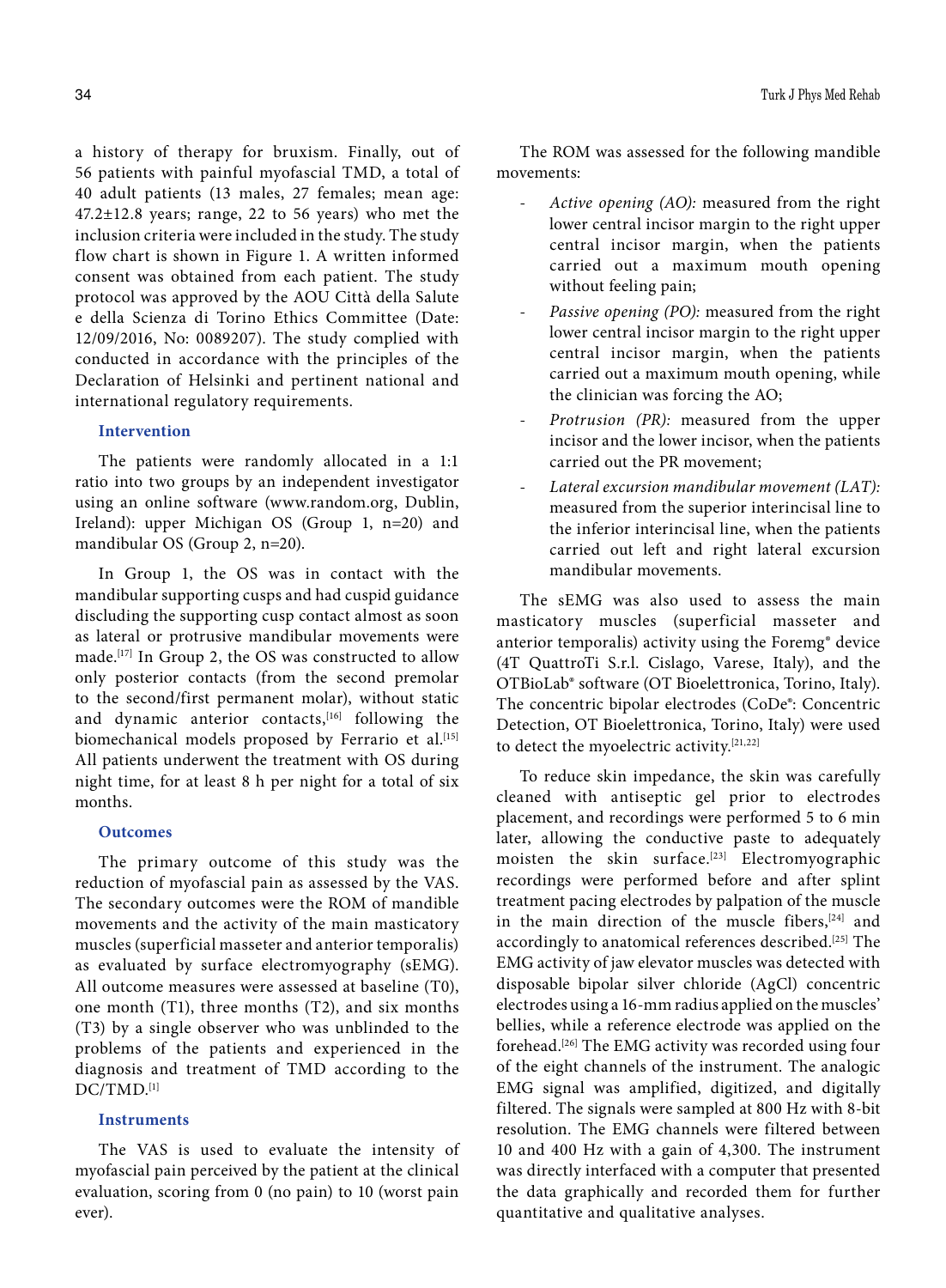a history of therapy for bruxism. Finally, out of 56 patients with painful myofascial TMD, a total of 40 adult patients (13 males, 27 females; mean age: 47.2±12.8 years; range, 22 to 56 years) who met the inclusion criteria were included in the study. The study flow chart is shown in Figure 1. A written informed consent was obtained from each patient. The study protocol was approved by the AOU Città della Salute e della Scienza di Torino Ethics Committee (Date: 12/09/2016, No: 0089207). The study complied with conducted in accordance with the principles of the Declaration of Helsinki and pertinent national and international regulatory requirements.

## **Intervention**

The patients were randomly allocated in a 1:1 ratio into two groups by an independent investigator using an online software (www.random.org, Dublin, Ireland): upper Michigan OS (Group 1, n=20) and mandibular OS (Group 2, n=20).

In Group 1, the OS was in contact with the mandibular supporting cusps and had cuspid guidance discluding the supporting cusp contact almost as soon as lateral or protrusive mandibular movements were made.[17] In Group 2, the OS was constructed to allow only posterior contacts (from the second premolar to the second/first permanent molar), without static and dynamic anterior contacts,<sup>[16]</sup> following the biomechanical models proposed by Ferrario et al.<sup>[15]</sup> All patients underwent the treatment with OS during night time, for at least 8 h per night for a total of six months.

#### **Outcomes**

The primary outcome of this study was the reduction of myofascial pain as assessed by the VAS. The secondary outcomes were the ROM of mandible movements and the activity of the main masticatory muscles (superficial masseter and anterior temporalis) as evaluated by surface electromyography (sEMG). All outcome measures were assessed at baseline (T0), one month (T1), three months (T2), and six months (T3) by a single observer who was unblinded to the problems of the patients and experienced in the diagnosis and treatment of TMD according to the DC/TMD.[1]

#### **Instruments**

The VAS is used to evaluate the intensity of myofascial pain perceived by the patient at the clinical evaluation, scoring from 0 (no pain) to 10 (worst pain ever).

The ROM was assessed for the following mandible movements:

- *Active opening (AO):* measured from the right lower central incisor margin to the right upper central incisor margin, when the patients carried out a maximum mouth opening without feeling pain;
- Passive opening (PO): measured from the right lower central incisor margin to the right upper central incisor margin, when the patients carried out a maximum mouth opening, while the clinician was forcing the AO;
- Protrusion (PR): measured from the upper incisor and the lower incisor, when the patients carried out the PR movement;
- Lateral excursion mandibular movement (LAT): measured from the superior interincisal line to the inferior interincisal line, when the patients carried out left and right lateral excursion mandibular movements.

The sEMG was also used to assess the main masticatory muscles (superficial masseter and anterior temporalis) activity using the Foremg® device (4T QuattroTi S.r.l. Cislago, Varese, Italy), and the OTBioLab® software (OT Bioelettronica, Torino, Italy). The concentric bipolar electrodes (CoDe®: Concentric Detection, OT Bioelettronica, Torino, Italy) were used to detect the myoelectric activity.[21,22]

To reduce skin impedance, the skin was carefully cleaned with antiseptic gel prior to electrodes placement, and recordings were performed 5 to 6 min later, allowing the conductive paste to adequately moisten the skin surface.<sup>[23]</sup> Electromyographic recordings were performed before and after splint treatment pacing electrodes by palpation of the muscle in the main direction of the muscle fibers, $[24]$  and accordingly to anatomical references described.<sup>[25]</sup> The EMG activity of jaw elevator muscles was detected with disposable bipolar silver chloride (AgCl) concentric electrodes using a 16-mm radius applied on the muscles' bellies, while a reference electrode was applied on the forehead.[26] The EMG activity was recorded using four of the eight channels of the instrument. The analogic EMG signal was amplified, digitized, and digitally filtered. The signals were sampled at 800 Hz with 8-bit resolution. The EMG channels were filtered between 10 and 400 Hz with a gain of 4,300. The instrument was directly interfaced with a computer that presented the data graphically and recorded them for further quantitative and qualitative analyses.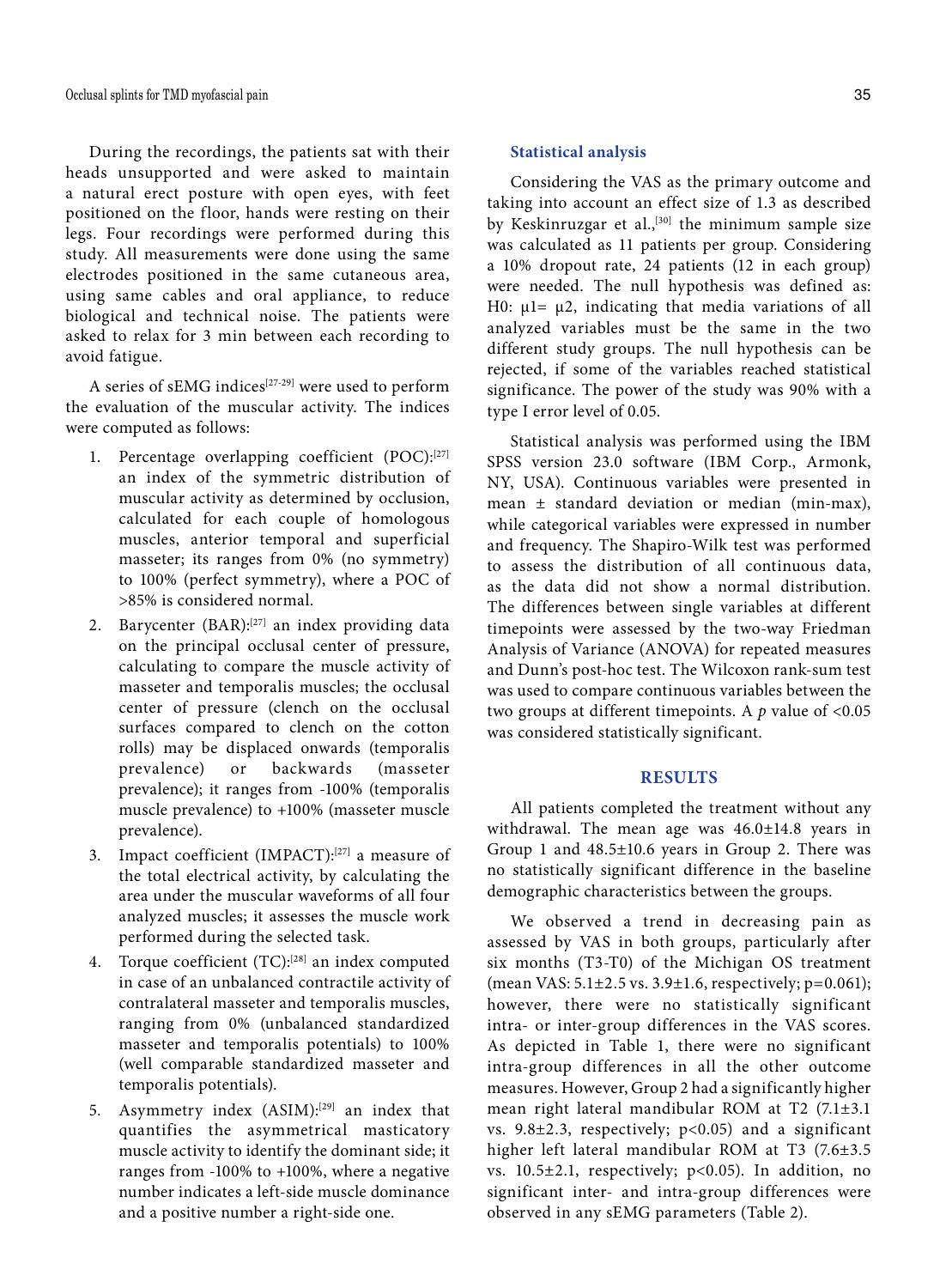During the recordings, the patients sat with their heads unsupported and were asked to maintain a natural erect posture with open eyes, with feet positioned on the floor, hands were resting on their legs. Four recordings were performed during this study. All measurements were done using the same electrodes positioned in the same cutaneous area, using same cables and oral appliance, to reduce biological and technical noise. The patients were asked to relax for 3 min between each recording to avoid fatigue.

A series of sEMG indices<sup>[27-29]</sup> were used to perform the evaluation of the muscular activity. The indices were computed as follows:

- 1. Percentage overlapping coefficient (POC):[27] an index of the symmetric distribution of muscular activity as determined by occlusion, calculated for each couple of homologous muscles, anterior temporal and superficial masseter; its ranges from 0% (no symmetry) to 100% (perfect symmetry), where a POC of >85% is considered normal.
- 2. Barycenter (BAR):<sup>[27]</sup> an index providing data on the principal occlusal center of pressure, calculating to compare the muscle activity of masseter and temporalis muscles; the occlusal center of pressure (clench on the occlusal surfaces compared to clench on the cotton rolls) may be displaced onwards (temporalis prevalence) or backwards (masseter prevalence); it ranges from -100% (temporalis muscle prevalence) to +100% (masseter muscle prevalence).
- 3. Impact coefficient (IMPACT):[27] a measure of the total electrical activity, by calculating the area under the muscular waveforms of all four analyzed muscles; it assesses the muscle work performed during the selected task.
- 4. Torque coefficient (TC):<sup>[28]</sup> an index computed in case of an unbalanced contractile activity of contralateral masseter and temporalis muscles, ranging from 0% (unbalanced standardized masseter and temporalis potentials) to 100% (well comparable standardized masseter and temporalis potentials).
- 5. Asymmetry index (ASIM):<sup>[29]</sup> an index that quantifies the asymmetrical masticatory muscle activity to identify the dominant side; it ranges from -100% to +100%, where a negative number indicates a left-side muscle dominance and a positive number a right-side one.

## **Statistical analysis**

Considering the VAS as the primary outcome and taking into account an effect size of 1.3 as described by Keskinruzgar et al.,<sup>[30]</sup> the minimum sample size was calculated as 11 patients per group. Considering a 10% dropout rate, 24 patients (12 in each group) were needed. The null hypothesis was defined as: H0:  $μ1= μ2$ , indicating that media variations of all analyzed variables must be the same in the two different study groups. The null hypothesis can be rejected, if some of the variables reached statistical significance. The power of the study was 90% with a type I error level of 0.05.

Statistical analysis was performed using the IBM SPSS version 23.0 software (IBM Corp., Armonk, NY, USA). Continuous variables were presented in mean ± standard deviation or median (min-max), while categorical variables were expressed in number and frequency. The Shapiro-Wilk test was performed to assess the distribution of all continuous data, as the data did not show a normal distribution. The differences between single variables at different timepoints were assessed by the two-way Friedman Analysis of Variance (ANOVA) for repeated measures and Dunn's post-hoc test. The Wilcoxon rank-sum test was used to compare continuous variables between the two groups at different timepoints. A *p* value of <0.05 was considered statistically significant.

#### **RESULTS**

All patients completed the treatment without any withdrawal. The mean age was 46.0±14.8 years in Group 1 and 48.5±10.6 years in Group 2. There was no statistically significant difference in the baseline demographic characteristics between the groups.

We observed a trend in decreasing pain as assessed by VAS in both groups, particularly after six months (T3-T0) of the Michigan OS treatment (mean VAS: 5.1±2.5 vs. 3.9±1.6, respectively; p=0.061); however, there were no statistically significant intra- or inter-group differences in the VAS scores. As depicted in Table 1, there were no significant intra-group differences in all the other outcome measures. However, Group 2 had a significantly higher mean right lateral mandibular ROM at T2 (7.1±3.1 vs.  $9.8\pm2.3$ , respectively;  $p<0.05$ ) and a significant higher left lateral mandibular ROM at T3 (7.6±3.5 vs.  $10.5\pm2.1$ , respectively; p<0.05). In addition, no significant inter- and intra-group differences were observed in any sEMG parameters (Table 2).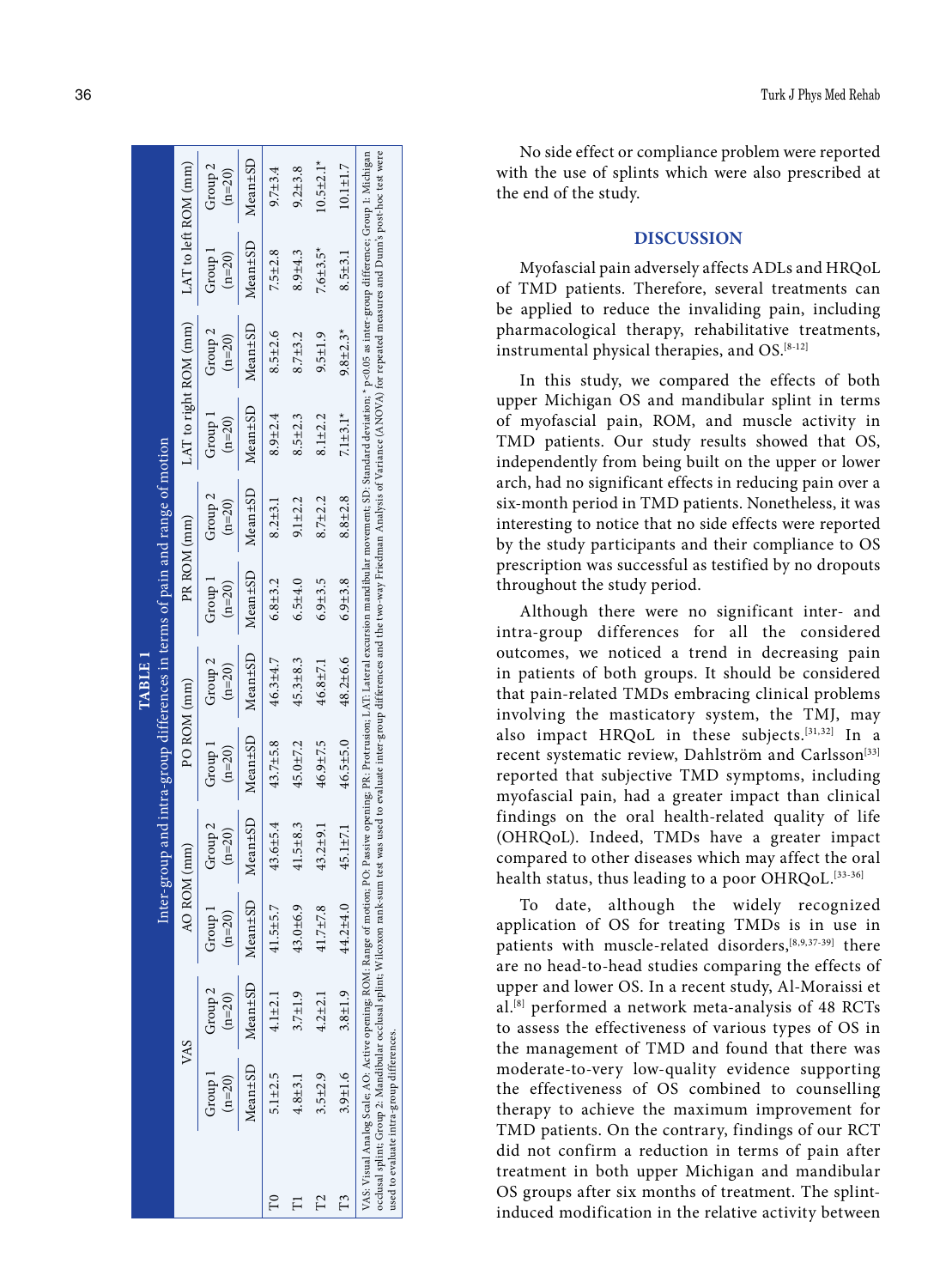|                |                                           |                             |                                                                                                                                                                                                                                                                                                                                                                                                                                                                 |                     |                     | TABLE I                                                                      |                     |                                |                       |                                |                      |                                |
|----------------|-------------------------------------------|-----------------------------|-----------------------------------------------------------------------------------------------------------------------------------------------------------------------------------------------------------------------------------------------------------------------------------------------------------------------------------------------------------------------------------------------------------------------------------------------------------------|---------------------|---------------------|------------------------------------------------------------------------------|---------------------|--------------------------------|-----------------------|--------------------------------|----------------------|--------------------------------|
|                |                                           |                             |                                                                                                                                                                                                                                                                                                                                                                                                                                                                 |                     |                     | Inter-group and intra-group differences in terms of pain and range of motion |                     |                                |                       |                                |                      |                                |
|                | VAS                                       |                             | AO ROM (mm)                                                                                                                                                                                                                                                                                                                                                                                                                                                     |                     | PO ROM (mm)         |                                                                              | PR ROM (mm)         |                                | LAT to right ROM (mm) |                                | LAT to left ROM (mm) |                                |
|                | $(n=20)$                                  | Group 1 Group 2<br>$(n=20)$ | Group 1<br>$(n=20)$                                                                                                                                                                                                                                                                                                                                                                                                                                             | Group 2<br>$(n=20)$ | Group 1<br>$(n=20)$ | Group <sub>2</sub><br>$(n=20)$                                               | Group 1<br>$(n=20)$ | Group <sub>2</sub><br>$(n=20)$ | Group 1<br>$(n=20)$   | Group <sub>2</sub><br>$(n=20)$ | Group 1<br>$(n=20)$  | Group <sub>2</sub><br>$(n=20)$ |
|                | Mean±SD                                   | Mean±SD                     | Mean±SD                                                                                                                                                                                                                                                                                                                                                                                                                                                         | Mean±SD             | Mean±SD             | Mean±SD                                                                      | Mean±SD             | Mean±SD                        | Mean±SD               | Mean <sup>±SD</sup>            | Mean±SD              | Mean±SD                        |
| $\mathbb{P}^1$ | $5.1 + 2.5$                               | $4.1 \pm 2.1$               | $41.5 + 5.7$                                                                                                                                                                                                                                                                                                                                                                                                                                                    | $43.6 \pm 5.4$      | $43.7 \pm 5.8$      | $46.3 + 4.7$                                                                 | $6.8 \pm 3.2$       | $8.2 \pm 3.1$                  | $8.9 + 2.4$           | $8.5 \pm 2.6$                  | $7.5 + 2.8$          | $9.7 \pm 3.4$                  |
| Е              | $4.8 + 3.1$                               | $3.7 \pm 1.9$               | $43.0 \pm 6.9$                                                                                                                                                                                                                                                                                                                                                                                                                                                  | $41.5 \pm 8.3$      | $45.0 \pm 7.2$      | $45.3 \pm 8.3$                                                               | $6.5 + 4.0$         | $9.1 + 2.2$                    | $8.5 \pm 2.3$         | $8.7 + 3.2$                    | $8.9 + 4.3$          | $9.2 + 3.8$                    |
| $\Gamma$ 2     | $3.5 + 2.9$                               | $4.2 \pm 2.1$               | 41.7±7.8                                                                                                                                                                                                                                                                                                                                                                                                                                                        | $43.2 + 9.1$        | 46.9±7.5            | 46.8±7.1                                                                     | $6.9 + 3.5$         | $8.7 + 2.2$                    | $8.1 + 2.2$           | $9.5 \pm 1.9$                  | $7.6 + 3.5*$         | $10.5 \pm 2.1*$                |
|                | $3.9 + 1.6$                               | $3.8 \pm 1.9$               | 44.2±4.0                                                                                                                                                                                                                                                                                                                                                                                                                                                        | $45.1 \pm 7.1$      | $46.5 \pm 5.0$      | $48.2 \pm 6.6$                                                               | $6.9 + 3.8$         | $8.8 + 2.8$                    | $7.1 + 3.1*$          | $9.8 \pm 2.3*$                 | $8.5 + 3.1$          | $10.1 \pm 1.7$                 |
|                | used to evaluate intra-group differences. |                             | occlusal splint; Group 2: Mandibular occlusal splint; Wilcoxon rank-sum test was used to evaluate inter-group differences and the two-way Friedman Analysis of Variance (ANOVA) for repeated measures and Dum's post-hoc test<br>VAS. Visual Analog Scale; AO: Active opening; ROM: Range of motion; PO: Passive opening; PR: Protrusion; LAT: Lateral excursion mandibular movement; SD: Standard deviation; * p<0.05 as inter-group difference; Group 1: Mich |                     |                     |                                                                              |                     |                                |                       |                                |                      |                                |

No side effect or compliance problem were reported with the use of splints which were also prescribed at the end of the study.

# **DISCUSSION**

Myofascial pain adversely affects ADLs and HRQoL of TMD patients. Therefore, several treatments can be applied to reduce the invaliding pain, including pharmacological therapy, rehabilitative treatments, instrumental physical therapies, and OS.<sup>[8-12]</sup>

In this study, we compared the effects of both upper Michigan OS and mandibular splint in terms of myofascial pain, ROM, and muscle activity in TMD patients. Our study results showed that OS, independently from being built on the upper or lower arch, had no significant effects in reducing pain over a six-month period in TMD patients. Nonetheless, it was interesting to notice that no side effects were reported by the study participants and their compliance to OS prescription was successful as testified by no dropouts throughout the study period.

Although there were no significant inter- and intra-group differences for all the considered outcomes, we noticed a trend in decreasing pain in patients of both groups. It should be considered that pain-related TMDs embracing clinical problems involving the masticatory system, the TMJ, may also impact HRQoL in these subjects.[31,32] In a recent systematic review, Dahlström and Carlsson<sup>[33]</sup> reported that subjective TMD symptoms, including myofascial pain, had a greater impact than clinical findings on the oral health-related quality of life (OHRQoL). Indeed, TMDs have a greater impact compared to other diseases which may affect the oral health status, thus leading to a poor OHRQoL.<sup>[33-36]</sup>

To date, although the widely recognized application of OS for treating TMDs is in use in patients with muscle-related disorders,<sup>[8,9,37-39]</sup> there are no head-to-head studies comparing the effects of upper and lower OS. In a recent study, Al-Moraissi et al.[8] performed a network meta-analysis of 48 RCTs to assess the effectiveness of various types of OS in the management of TMD and found that there was moderate-to-very low-quality evidence supporting the effectiveness of OS combined to counselling therapy to achieve the maximum improvement for TMD patients. On the contrary, findings of our RCT did not confirm a reduction in terms of pain after treatment in both upper Michigan and mandibular OS groups after six months of treatment. The splintinduced modification in the relative activity between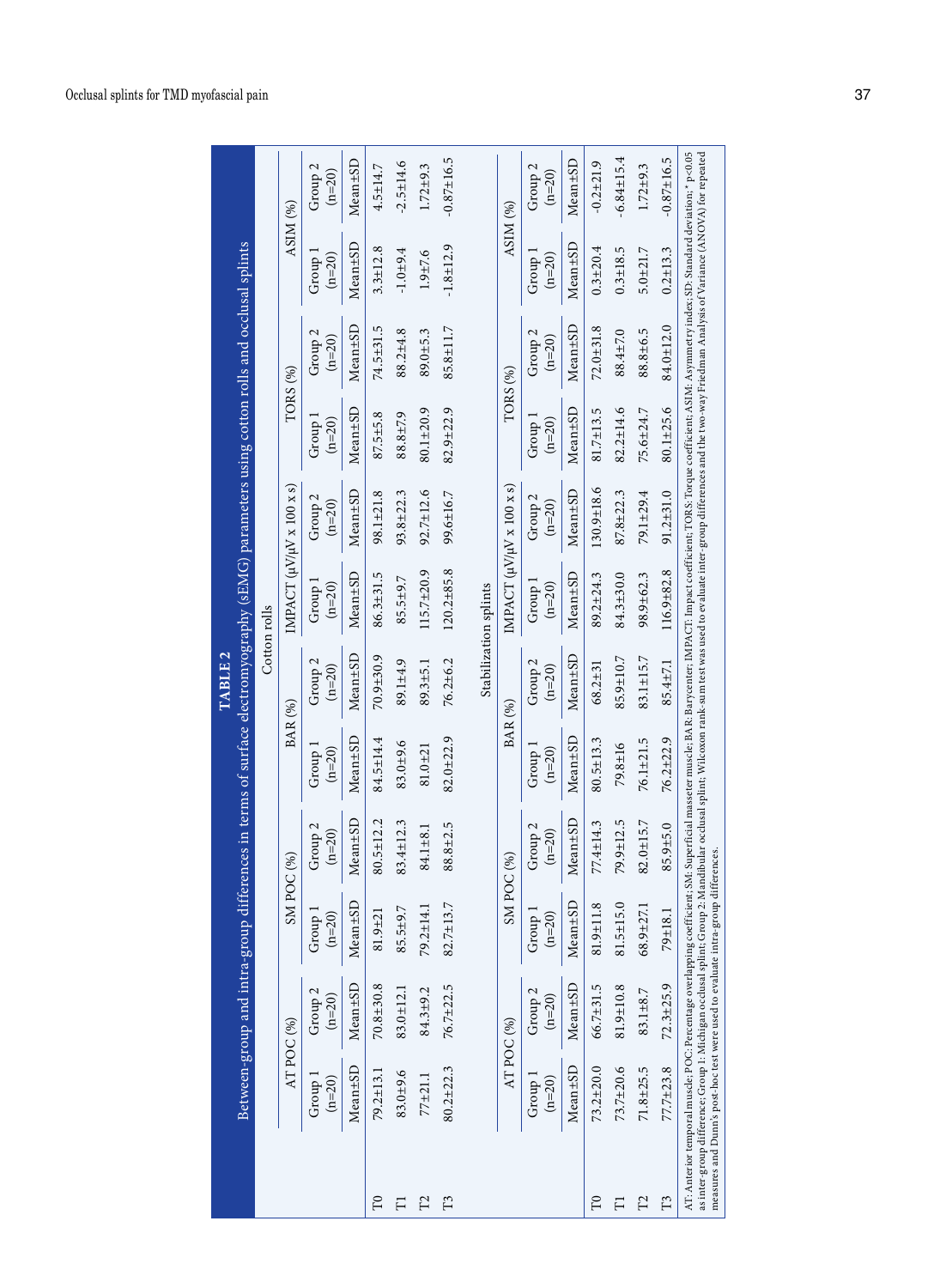|              |                                                                                                                                                                                                                                                                                                                                                                                             |                                |                      |                     |                     | TABLE 2                        | Between-group and intra-group differences in terms of surface electromyography (sEMG) parameters using cotton rolls and occlusal splints                        |                                |                     |                                |                     |                                |
|--------------|---------------------------------------------------------------------------------------------------------------------------------------------------------------------------------------------------------------------------------------------------------------------------------------------------------------------------------------------------------------------------------------------|--------------------------------|----------------------|---------------------|---------------------|--------------------------------|-----------------------------------------------------------------------------------------------------------------------------------------------------------------|--------------------------------|---------------------|--------------------------------|---------------------|--------------------------------|
|              |                                                                                                                                                                                                                                                                                                                                                                                             |                                |                      |                     |                     |                                | Cotton rolls                                                                                                                                                    |                                |                     |                                |                     |                                |
|              |                                                                                                                                                                                                                                                                                                                                                                                             | AT POC (%)                     | SMPOC <sub>(%)</sub> |                     |                     | $\text{BAR}(\% )$              | IMPACT $(\mu V/\mu V \times 100 \times s)$                                                                                                                      |                                | TORS <sub>(%)</sub> |                                | ASIM $(%)$          |                                |
|              | Group 1<br>$(n=20)$                                                                                                                                                                                                                                                                                                                                                                         | Group <sub>2</sub><br>$(n=20)$ | Group 1<br>$(n=20)$  | Group 2<br>$(n=20)$ | Group 1<br>$(n=20)$ | Group <sub>2</sub><br>$(n=20)$ | Group 1<br>$(n=20)$                                                                                                                                             | Group <sub>2</sub><br>$(n=20)$ | Group 1<br>$(n=20)$ | 2<br>$(n=20)$<br>Group         | Group 1<br>$(n=20)$ | Group <sub>2</sub><br>$(n=20)$ |
|              | Mean <sup>+SD</sup>                                                                                                                                                                                                                                                                                                                                                                         | Mean±SD                        | Mean <sup>±SD</sup>  | Mean±SD             | Mean±SD             | Mean±SD                        | Mean±SD                                                                                                                                                         | Mean±SD                        | Mean±SD             | Mean±SD                        | Mean±SD             | Mean±SD                        |
| $\mathbb{C}$ | 79.2±13.1                                                                                                                                                                                                                                                                                                                                                                                   | $70.8 + 30.8$                  | $81.9 + 21$          | $80.5 \pm 12.2$     | 84.5±14.4           | $70.9 + 30.9$                  | 86.3±31.5                                                                                                                                                       | 98.1±21.8                      | 87.5±5.8            | 74.5±31.5                      | $3.3 \pm 12.8$      | $4.5 \pm 14.7$                 |
| F            | 83.0±9.6                                                                                                                                                                                                                                                                                                                                                                                    | 83.0±12.1                      | 85.5±9.7             | 83.4±12.3           | 83.0±9.6            | 89.1±4.9                       | 85.5±9.7                                                                                                                                                        | $93.8 \pm 22.3$                | 88.8±7.9            | 88.2±4.8                       | $-1.0 + 9.4$        | $-2.5 \pm 14.6$                |
| $\Gamma$     | $77 + 21.1$                                                                                                                                                                                                                                                                                                                                                                                 | 84.3±9.2                       | 79.2±14.1            | $84.1 \pm 8.1$      | $81.0 + 21$         | $89.3 \pm 5.1$                 | $115.7 \pm 20.9$                                                                                                                                                | $92.7 \pm 12.6$                | 80.1±20.9           | 89.0±5.3                       | $1.9 + 7.6$         | $1.72 + 9.3$                   |
| $\Gamma$ 3   | $80.2 + 22.3$                                                                                                                                                                                                                                                                                                                                                                               | 76.7±22.5                      | 82.7±13.7            | 88.8±2.5            | $82.0 + 22.9$       | 76.2±6.2                       | $120.2 \pm 85.8$                                                                                                                                                | 99.6±16.7                      | 82.9±22.9           | $85.8 \pm 11.7$                | $-1.8 + 12.9$       | $-0.87 \pm 16.5$               |
|              |                                                                                                                                                                                                                                                                                                                                                                                             |                                |                      |                     |                     |                                | Stabilization splints                                                                                                                                           |                                |                     |                                |                     |                                |
|              |                                                                                                                                                                                                                                                                                                                                                                                             | AT POC (%)                     | SMPOC <sub>(%)</sub> |                     |                     | <b>BAR</b> (%)                 | IMPACT $(\mu V/\mu V \times 100 \times s)$                                                                                                                      |                                | TORS <sub>(%)</sub> |                                |                     | ASIM <sub>(%)</sub>            |
|              | Group 1<br>$(n=20)$                                                                                                                                                                                                                                                                                                                                                                         | Group <sub>2</sub><br>$(n=20)$ | Group 1<br>$(n=20)$  | Group 2<br>$(n=20)$ | Group 1<br>$(n=20)$ | Group 2<br>$(n=20)$            | Group 1<br>$(n=20)$                                                                                                                                             | Group 2<br>$(n=20)$            | Group 1<br>$(n=20)$ | Group <sub>2</sub><br>$(n=20)$ | Group 1<br>$(n=20)$ | Group <sub>2</sub><br>$(n=20)$ |
|              | Mean±SD                                                                                                                                                                                                                                                                                                                                                                                     | Mean±SD                        | Mean±SD              | Mean±SD             | Mean±SD             | Mean±SD                        | Mean±SD                                                                                                                                                         | Mean±SD                        | Mean±SD             | Mean±SD                        | Mean±SD             | Mean±SD                        |
| $\mathbb{C}$ | $73.2 + 20.0$                                                                                                                                                                                                                                                                                                                                                                               | 66.7±31.5                      | 81.9±11.8            | 77.4±14.3           | $80.5 \pm 13.3$     | 68.2±31                        | 89.2±24.3                                                                                                                                                       | 130.9±18.6                     | $81.7 \pm 13.5$     | $72.0 + 31.8$                  | $0.3 + 20.4$        | $-0.2 + 21.9$                  |
| F            | 73.7±20.6                                                                                                                                                                                                                                                                                                                                                                                   | 81.9±10.8                      | 81.5±15.0            | 79.9±12.5           | 79.8±16             | 85.9±10.7                      | 84.3±30.0                                                                                                                                                       | $87.8 + 22.3$                  | $82.2 \pm 14.6$     | 88.4±7.0                       | $0.3 + 18.5$        | $-6.84 \pm 15.4$               |
| Ľ            | $71.8 + 25.5$                                                                                                                                                                                                                                                                                                                                                                               | 83.1±8.7                       | 68.9±27.1            | 82.0±15.7           | 76.1±21.5           | $83.1 \pm 15.7$                | 98.9±62.3                                                                                                                                                       | 79.1±29.4                      | 75.6±24.7           | 88.8±6.5                       | $5.0 + 21.7$        | $1.72 + 9.3$                   |
| $\Gamma$ 3   | 77.7±23.8                                                                                                                                                                                                                                                                                                                                                                                   | $72.3 + 25.9$                  | 79±18.1              | 85.9±5.0            | 76.2±22.9           | 85.4±7.1                       | 116.9±82.8                                                                                                                                                      | $91.2 \pm 31.0$                | $80.1 \pm 25.6$     | $84.0 \pm 12.0$                | $0.2 + 13.3$        | $-0.87 \pm 16.5$               |
|              | as inter-group difference; Group 1: Michigan occlusal splint; Group 2: Mandibular occlusal splint; Wilcoxon rank-sum test was used to evaluate inter-group differences and the two-way Friedman Analysis of Variance (ANOVA) f<br>measures and Dunn's post-hoc test were used to evaluate intra-group differences<br>AT: Anterior temporal muscle; POC: Percentage overlapping coefficient; |                                |                      |                     |                     |                                | SM: Superficial masseter muscle; BAR: Barycenter; IMPACT: Impact coefficient; TORS: Torque coefficient; ASIM: Asymmetry index; SD: Standard deviation; * p<0.05 |                                |                     |                                |                     |                                |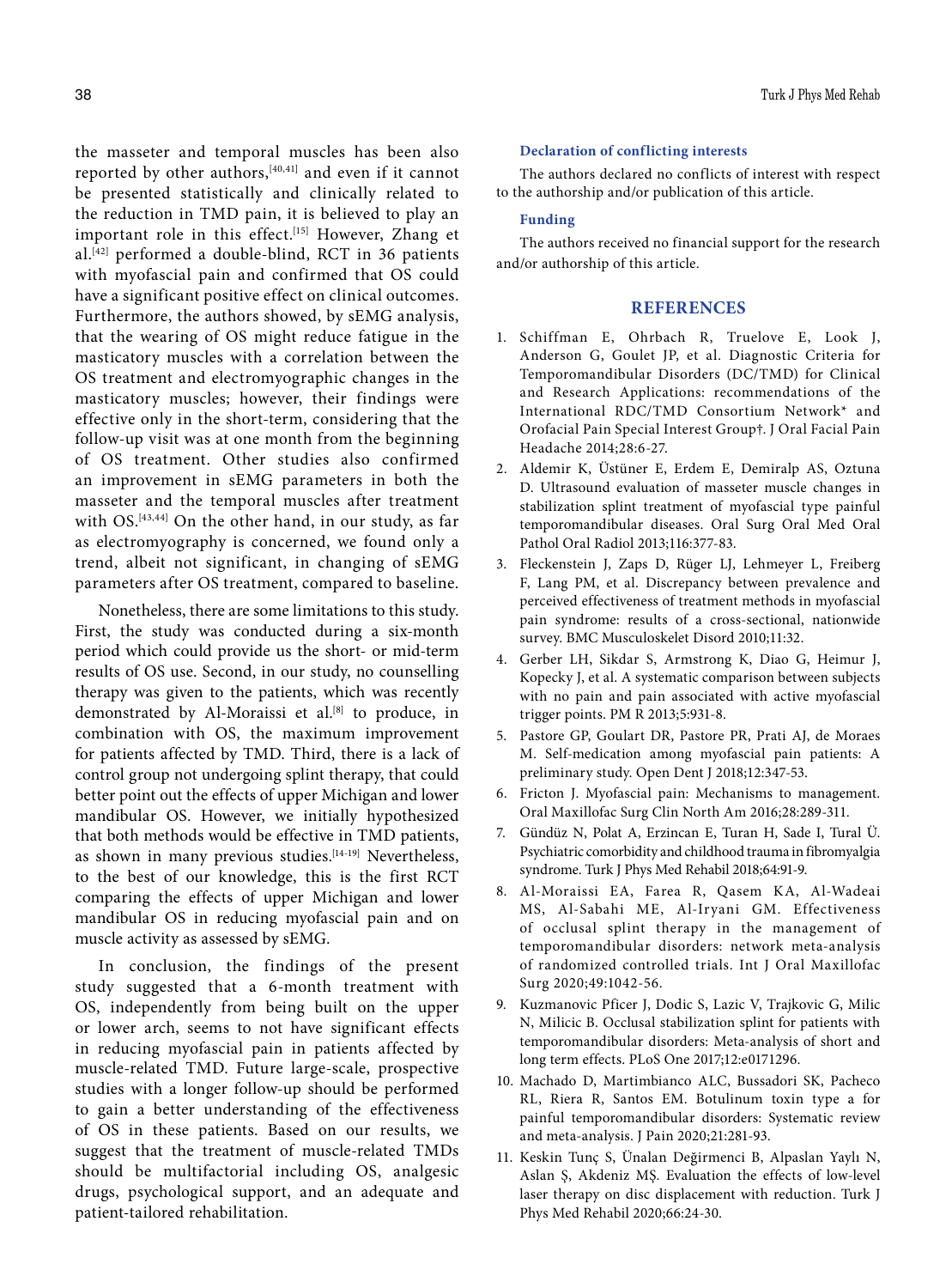the masseter and temporal muscles has been also reported by other authors, [40,41] and even if it cannot be presented statistically and clinically related to the reduction in TMD pain, it is believed to play an important role in this effect.<sup>[15]</sup> However, Zhang et al.[42] performed a double-blind, RCT in 36 patients with myofascial pain and confirmed that OS could have a significant positive effect on clinical outcomes. Furthermore, the authors showed, by sEMG analysis, that the wearing of OS might reduce fatigue in the masticatory muscles with a correlation between the OS treatment and electromyographic changes in the masticatory muscles; however, their findings were effective only in the short-term, considering that the follow-up visit was at one month from the beginning of OS treatment. Other studies also confirmed an improvement in sEMG parameters in both the masseter and the temporal muscles after treatment with OS.<sup>[43,44]</sup> On the other hand, in our study, as far as electromyography is concerned, we found only a trend, albeit not significant, in changing of sEMG parameters after OS treatment, compared to baseline.

Nonetheless, there are some limitations to this study. First, the study was conducted during a six-month period which could provide us the short- or mid-term results of OS use. Second, in our study, no counselling therapy was given to the patients, which was recently demonstrated by Al-Moraissi et al.[8] to produce, in combination with OS, the maximum improvement for patients affected by TMD. Third, there is a lack of control group not undergoing splint therapy, that could better point out the effects of upper Michigan and lower mandibular OS. However, we initially hypothesized that both methods would be effective in TMD patients, as shown in many previous studies.<sup>[14-19]</sup> Nevertheless, to the best of our knowledge, this is the first RCT comparing the effects of upper Michigan and lower mandibular OS in reducing myofascial pain and on muscle activity as assessed by sEMG.

In conclusion, the findings of the present study suggested that a 6-month treatment with OS, independently from being built on the upper or lower arch, seems to not have significant effects in reducing myofascial pain in patients affected by muscle-related TMD. Future large-scale, prospective studies with a longer follow-up should be performed to gain a better understanding of the effectiveness of OS in these patients. Based on our results, we suggest that the treatment of muscle-related TMDs should be multifactorial including OS, analgesic drugs, psychological support, and an adequate and patient-tailored rehabilitation.

#### 38 Turk J Phys Med Rehab

#### **Declaration of conflicting interests**

The authors declared no conflicts of interest with respect to the authorship and/or publication of this article.

#### **Funding**

The authors received no financial support for the research and/or authorship of this article.

#### **REFERENCES**

- 1. Schiffman E, Ohrbach R, Truelove E, Look J, Anderson G, Goulet JP, et al. Diagnostic Criteria for Temporomandibular Disorders (DC/TMD) for Clinical and Research Applications: recommendations of the International RDC/TMD Consortium Network\* and Orofacial Pain Special Interest Group†. J Oral Facial Pain Headache 2014;28:6-27.
- 2. Aldemir K, Üstüner E, Erdem E, Demiralp AS, Oztuna D. Ultrasound evaluation of masseter muscle changes in stabilization splint treatment of myofascial type painful temporomandibular diseases. Oral Surg Oral Med Oral Pathol Oral Radiol 2013;116:377-83.
- 3. Fleckenstein J, Zaps D, Rüger LJ, Lehmeyer L, Freiberg F, Lang PM, et al. Discrepancy between prevalence and perceived effectiveness of treatment methods in myofascial pain syndrome: results of a cross-sectional, nationwide survey. BMC Musculoskelet Disord 2010;11:32.
- 4. Gerber LH, Sikdar S, Armstrong K, Diao G, Heimur J, Kopecky J, et al. A systematic comparison between subjects with no pain and pain associated with active myofascial trigger points. PM R 2013;5:931-8.
- 5. Pastore GP, Goulart DR, Pastore PR, Prati AJ, de Moraes M. Self-medication among myofascial pain patients: A preliminary study. Open Dent J 2018;12:347-53.
- 6. Fricton J. Myofascial pain: Mechanisms to management. Oral Maxillofac Surg Clin North Am 2016;28:289-311.
- 7. Gündüz N, Polat A, Erzincan E, Turan H, Sade I, Tural Ü. Psychiatric comorbidity and childhood trauma in fibromyalgia syndrome. Turk J Phys Med Rehabil 2018;64:91-9.
- 8. Al-Moraissi EA, Farea R, Qasem KA, Al-Wadeai MS, Al-Sabahi ME, Al-Iryani GM. Effectiveness of occlusal splint therapy in the management of temporomandibular disorders: network meta-analysis of randomized controlled trials. Int J Oral Maxillofac Surg 2020;49:1042-56.
- 9. Kuzmanovic Pficer J, Dodic S, Lazic V, Trajkovic G, Milic N, Milicic B. Occlusal stabilization splint for patients with temporomandibular disorders: Meta-analysis of short and long term effects. PLoS One 2017;12:e0171296.
- 10. Machado D, Martimbianco ALC, Bussadori SK, Pacheco RL, Riera R, Santos EM. Botulinum toxin type a for painful temporomandibular disorders: Systematic review and meta-analysis. J Pain 2020;21:281-93.
- 11. Keskin Tunç S, Ünalan Değirmenci B, Alpaslan Yaylı N, Aslan Ş, Akdeniz MŞ. Evaluation the effects of low-level laser therapy on disc displacement with reduction. Turk J Phys Med Rehabil 2020;66:24-30.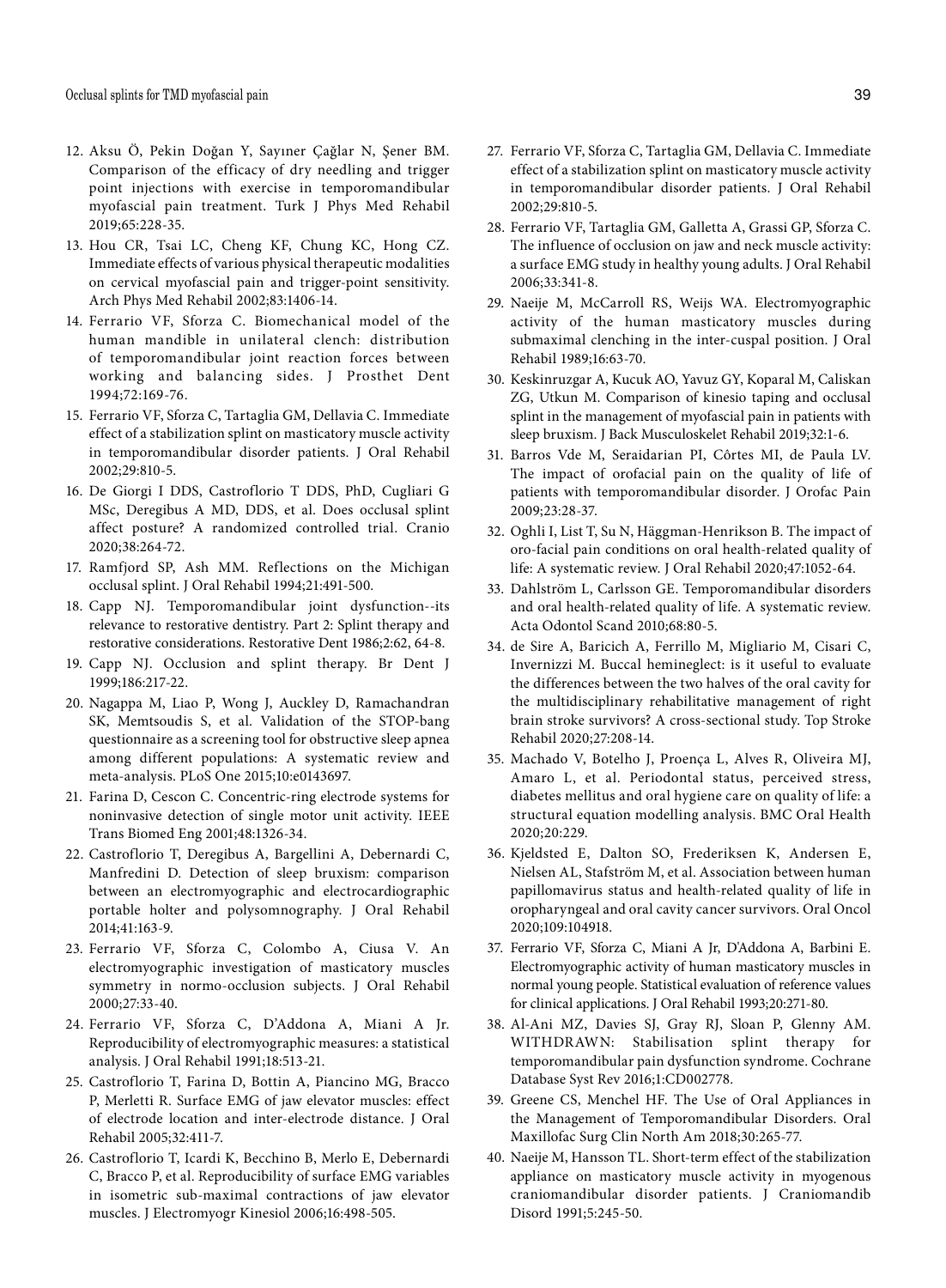- 12. Aksu Ö, Pekin Doğan Y, Sayıner Çağlar N, Şener BM. Comparison of the efficacy of dry needling and trigger point injections with exercise in temporomandibular myofascial pain treatment. Turk J Phys Med Rehabil 2019;65:228-35.
- 13. Hou CR, Tsai LC, Cheng KF, Chung KC, Hong CZ. Immediate effects of various physical therapeutic modalities on cervical myofascial pain and trigger-point sensitivity. Arch Phys Med Rehabil 2002;83:1406-14.
- 14. Ferrario VF, Sforza C. Biomechanical model of the human mandible in unilateral clench: distribution of temporomandibular joint reaction forces between working and balancing sides. J Prosthet Dent 1994;72:169-76.
- 15. Ferrario VF, Sforza C, Tartaglia GM, Dellavia C. Immediate effect of a stabilization splint on masticatory muscle activity in temporomandibular disorder patients. J Oral Rehabil 2002;29:810-5.
- 16. De Giorgi I DDS, Castroflorio T DDS, PhD, Cugliari G MSc, Deregibus A MD, DDS, et al. Does occlusal splint affect posture? A randomized controlled trial. Cranio 2020;38:264-72.
- 17. Ramfjord SP, Ash MM. Reflections on the Michigan occlusal splint. J Oral Rehabil 1994;21:491-500.
- 18. Capp NJ. Temporomandibular joint dysfunction--its relevance to restorative dentistry. Part 2: Splint therapy and restorative considerations. Restorative Dent 1986;2:62, 64-8.
- 19. Capp NJ. Occlusion and splint therapy. Br Dent J 1999;186:217-22.
- 20. Nagappa M, Liao P, Wong J, Auckley D, Ramachandran SK, Memtsoudis S, et al. Validation of the STOP-bang questionnaire as a screening tool for obstructive sleep apnea among different populations: A systematic review and meta-analysis. PLoS One 2015;10:e0143697.
- 21. Farina D, Cescon C. Concentric-ring electrode systems for noninvasive detection of single motor unit activity. IEEE Trans Biomed Eng 2001;48:1326-34.
- 22. Castroflorio T, Deregibus A, Bargellini A, Debernardi C, Manfredini D. Detection of sleep bruxism: comparison between an electromyographic and electrocardiographic portable holter and polysomnography. J Oral Rehabil 2014;41:163-9.
- 23. Ferrario VF, Sforza C, Colombo A, Ciusa V. An electromyographic investigation of masticatory muscles symmetry in normo-occlusion subjects. J Oral Rehabil 2000;27:33-40.
- 24. Ferrario VF, Sforza C, D'Addona A, Miani A Jr. Reproducibility of electromyographic measures: a statistical analysis. J Oral Rehabil 1991;18:513-21.
- 25. Castroflorio T, Farina D, Bottin A, Piancino MG, Bracco P, Merletti R. Surface EMG of jaw elevator muscles: effect of electrode location and inter-electrode distance. J Oral Rehabil 2005;32:411-7.
- 26. Castroflorio T, Icardi K, Becchino B, Merlo E, Debernardi C, Bracco P, et al. Reproducibility of surface EMG variables in isometric sub-maximal contractions of jaw elevator muscles. J Electromyogr Kinesiol 2006;16:498-505.
- 27. Ferrario VF, Sforza C, Tartaglia GM, Dellavia C. Immediate effect of a stabilization splint on masticatory muscle activity in temporomandibular disorder patients. J Oral Rehabil 2002;29:810-5.
- 28. Ferrario VF, Tartaglia GM, Galletta A, Grassi GP, Sforza C. The influence of occlusion on jaw and neck muscle activity: a surface EMG study in healthy young adults. J Oral Rehabil 2006;33:341-8.
- 29. Naeije M, McCarroll RS, Weijs WA. Electromyographic activity of the human masticatory muscles during submaximal clenching in the inter-cuspal position. J Oral Rehabil 1989;16:63-70.
- 30. Keskinruzgar A, Kucuk AO, Yavuz GY, Koparal M, Caliskan ZG, Utkun M. Comparison of kinesio taping and occlusal splint in the management of myofascial pain in patients with sleep bruxism. J Back Musculoskelet Rehabil 2019;32:1-6.
- 31. Barros Vde M, Seraidarian PI, Côrtes MI, de Paula LV. The impact of orofacial pain on the quality of life of patients with temporomandibular disorder. J Orofac Pain 2009;23:28-37.
- 32. Oghli I, List T, Su N, Häggman-Henrikson B. The impact of oro-facial pain conditions on oral health-related quality of life: A systematic review. J Oral Rehabil 2020;47:1052-64.
- 33. Dahlström L, Carlsson GE. Temporomandibular disorders and oral health-related quality of life. A systematic review. Acta Odontol Scand 2010;68:80-5.
- 34. de Sire A, Baricich A, Ferrillo M, Migliario M, Cisari C, Invernizzi M. Buccal hemineglect: is it useful to evaluate the differences between the two halves of the oral cavity for the multidisciplinary rehabilitative management of right brain stroke survivors? A cross-sectional study. Top Stroke Rehabil 2020;27:208-14.
- 35. Machado V, Botelho J, Proença L, Alves R, Oliveira MJ, Amaro L, et al. Periodontal status, perceived stress, diabetes mellitus and oral hygiene care on quality of life: a structural equation modelling analysis. BMC Oral Health 2020;20:229.
- 36. Kjeldsted E, Dalton SO, Frederiksen K, Andersen E, Nielsen AL, Stafström M, et al. Association between human papillomavirus status and health-related quality of life in oropharyngeal and oral cavity cancer survivors. Oral Oncol 2020;109:104918.
- 37. Ferrario VF, Sforza C, Miani A Jr, D'Addona A, Barbini E. Electromyographic activity of human masticatory muscles in normal young people. Statistical evaluation of reference values for clinical applications. J Oral Rehabil 1993;20:271-80.
- 38. Al-Ani MZ, Davies SJ, Gray RJ, Sloan P, Glenny AM. WITHDRAWN: Stabilisation splint therapy for temporomandibular pain dysfunction syndrome. Cochrane Database Syst Rev 2016;1:CD002778.
- 39. Greene CS, Menchel HF. The Use of Oral Appliances in the Management of Temporomandibular Disorders. Oral Maxillofac Surg Clin North Am 2018;30:265-77.
- 40. Naeije M, Hansson TL. Short-term effect of the stabilization appliance on masticatory muscle activity in myogenous craniomandibular disorder patients. J Craniomandib Disord 1991;5:245-50.